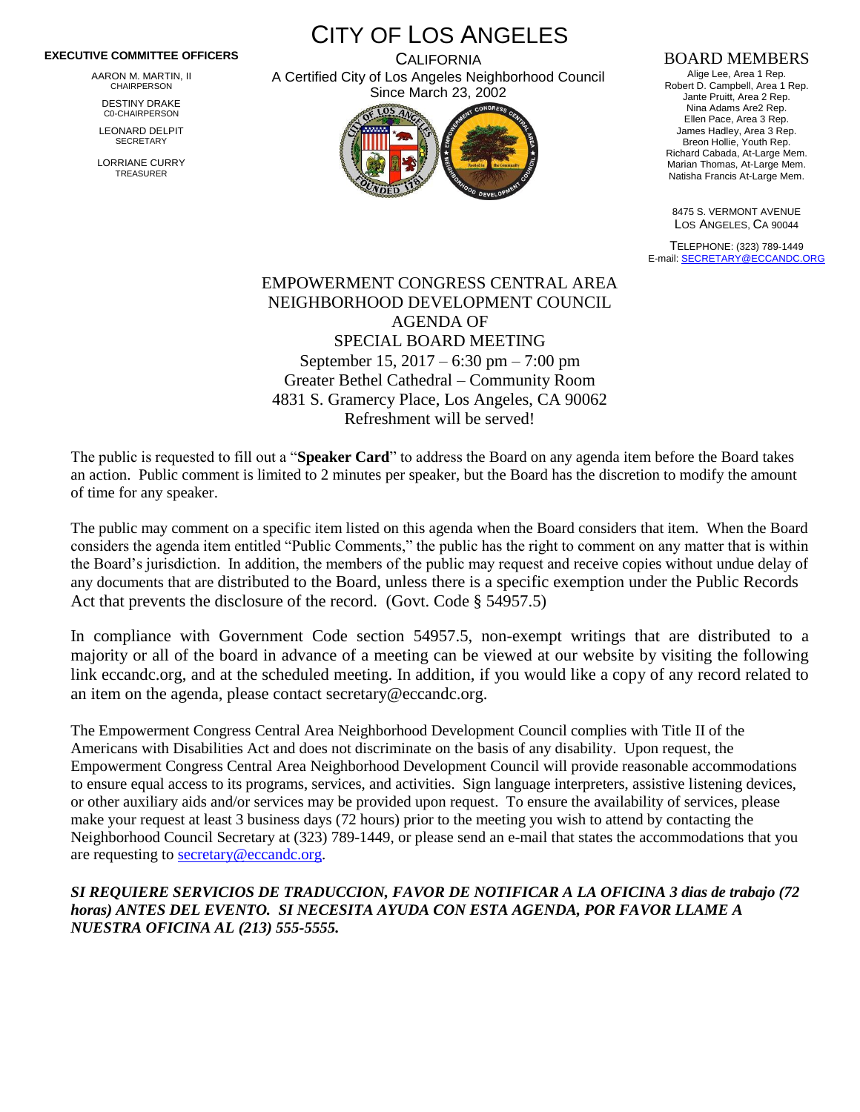## **EXECUTIVE COMMITTEE OFFICERS**

AARON M. MARTIN, II CHAIRPERSON

DESTINY DRAKE C0-CHAIRPERSON

LEONARD DELPIT **SECRETARY** 

LORRIANE CURRY TREASURER

CITY OF LOS ANGELES **CALIFORNIA** 

A Certified City of Los Angeles Neighborhood Council Since March 23, 2002



## BOARD MEMBERS

Alige Lee, Area 1 Rep. Robert D. Campbell, Area 1 Rep. Jante Pruitt, Area 2 Rep. Nina Adams Are2 Rep. Ellen Pace, Area 3 Rep. James Hadley, Area 3 Rep. Breon Hollie, Youth Rep. Richard Cabada, At-Large Mem. Marian Thomas, At-Large Mem. Natisha Francis At-Large Mem.

8475 S. VERMONT AVENUE LOS ANGELES, CA 90044

TELEPHONE: (323) 789-1449 E-mail[: SECRETARY@ECCANDC.ORG](mailto:SECRETARY@ECCANDC.ORG)

## EMPOWERMENT CONGRESS CENTRAL AREA NEIGHBORHOOD DEVELOPMENT COUNCIL AGENDA OF SPECIAL BOARD MEETING September 15, 2017 – 6:30 pm – 7:00 pm Greater Bethel Cathedral – Community Room 4831 S. Gramercy Place, Los Angeles, CA 90062 Refreshment will be served!

The public is requested to fill out a "**Speaker Card**" to address the Board on any agenda item before the Board takes an action. Public comment is limited to 2 minutes per speaker, but the Board has the discretion to modify the amount of time for any speaker.

The public may comment on a specific item listed on this agenda when the Board considers that item. When the Board considers the agenda item entitled "Public Comments," the public has the right to comment on any matter that is within the Board's jurisdiction. In addition, the members of the public may request and receive copies without undue delay of any documents that are distributed to the Board, unless there is a specific exemption under the Public Records Act that prevents the disclosure of the record. (Govt. Code § 54957.5)

In compliance with Government Code section 54957.5, non-exempt writings that are distributed to a majority or all of the board in advance of a meeting can be viewed at our website by visiting the following link eccandc.org, and at the scheduled meeting. In addition, if you would like a copy of any record related to an item on the agenda, please contact secretary@eccandc.org.

The Empowerment Congress Central Area Neighborhood Development Council complies with Title II of the Americans with Disabilities Act and does not discriminate on the basis of any disability. Upon request, the Empowerment Congress Central Area Neighborhood Development Council will provide reasonable accommodations to ensure equal access to its programs, services, and activities. Sign language interpreters, assistive listening devices, or other auxiliary aids and/or services may be provided upon request. To ensure the availability of services, please make your request at least 3 business days (72 hours) prior to the meeting you wish to attend by contacting the Neighborhood Council Secretary at (323) 789-1449, or please send an e-mail that states the accommodations that you are requesting to [secretary@eccandc.org.](mailto:secretary@eccandc.org)

## *SI REQUIERE SERVICIOS DE TRADUCCION, FAVOR DE NOTIFICAR A LA OFICINA 3 dias de trabajo (72 horas) ANTES DEL EVENTO. SI NECESITA AYUDA CON ESTA AGENDA, POR FAVOR LLAME A NUESTRA OFICINA AL (213) 555-5555.*